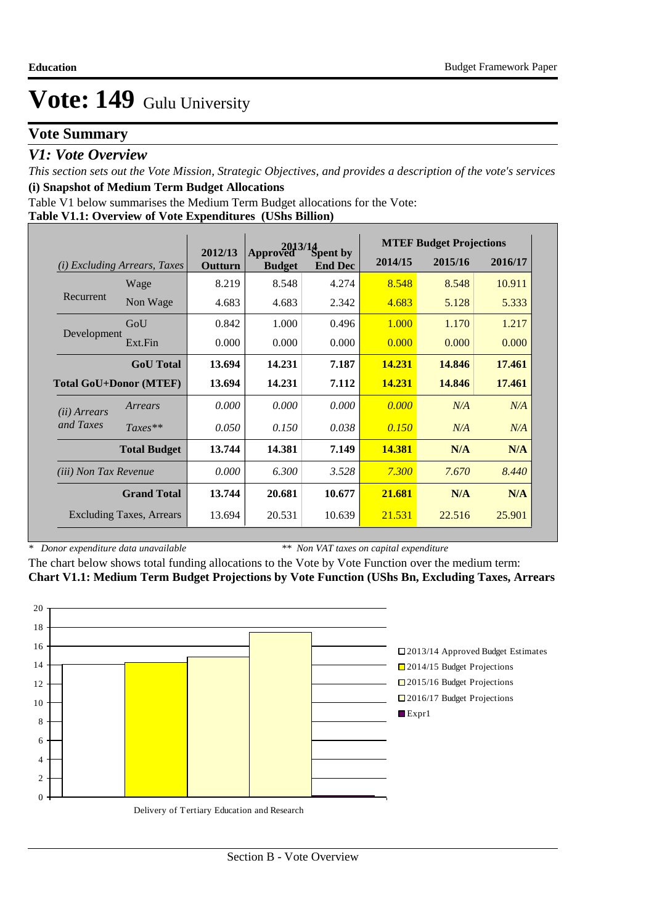### **Vote Summary**

#### *V1: Vote Overview*

*This section sets out the Vote Mission, Strategic Objectives, and provides a description of the vote's services* **(i) Snapshot of Medium Term Budget Allocations** 

Table V1 below summarises the Medium Term Budget allocations for the Vote:

#### **Table V1.1: Overview of Vote Expenditures (UShs Billion)**

|                              |                                 |                    | 2013/14                   |                            |               | <b>MTEF Budget Projections</b> |         |
|------------------------------|---------------------------------|--------------------|---------------------------|----------------------------|---------------|--------------------------------|---------|
| (i)                          | <b>Excluding Arrears, Taxes</b> | 2012/13<br>Outturn | Approved<br><b>Budget</b> | Spent by<br><b>End Dec</b> | 2014/15       | 2015/16                        | 2016/17 |
|                              | Wage                            | 8.219              | 8.548                     | 4.274                      | 8.548         | 8.548                          | 10.911  |
| Recurrent                    | Non Wage                        | 4.683              | 4.683                     | 2.342                      | 4.683         | 5.128                          | 5.333   |
|                              | GoU                             | 0.842              | 1.000                     | 0.496                      | 1.000         | 1.170                          | 1.217   |
| Development                  | Ext.Fin                         | 0.000              | 0.000                     | 0.000                      | 0.000         | 0.000                          | 0.000   |
|                              | <b>GoU</b> Total                | 13.694             | 14.231                    | 7.187                      | 14.231        | 14.846                         | 17.461  |
|                              | <b>Total GoU+Donor (MTEF)</b>   | 13.694             | 14.231                    | 7.112                      | 14.231        | 14.846                         | 17.461  |
| ( <i>ii</i> ) Arrears        | Arrears                         | 0.000              | 0.000                     | 0.000                      | 0.000         | N/A                            | N/A     |
| and Taxes                    | $Taxes**$                       | 0.050              | 0.150                     | 0.038                      | 0.150         | N/A                            | N/A     |
|                              | <b>Total Budget</b>             | 13.744             | 14.381                    | 7.149                      | <b>14.381</b> | N/A                            | N/A     |
| <i>(iii)</i> Non Tax Revenue |                                 | 0.000              | 6.300                     | 3.528                      | 7.300         | 7.670                          | 8.440   |
|                              | <b>Grand Total</b>              | 13.744             | 20.681                    | 10.677                     | 21.681        | N/A                            | N/A     |
|                              | <b>Excluding Taxes, Arrears</b> | 13.694             | 20.531                    | 10.639                     | 21.531        | 22.516                         | 25.901  |

*\* Donor expenditure data unavailable*

*\*\* Non VAT taxes on capital expenditure*

The chart below shows total funding allocations to the Vote by Vote Function over the medium term: **Chart V1.1: Medium Term Budget Projections by Vote Function (UShs Bn, Excluding Taxes, Arrears**

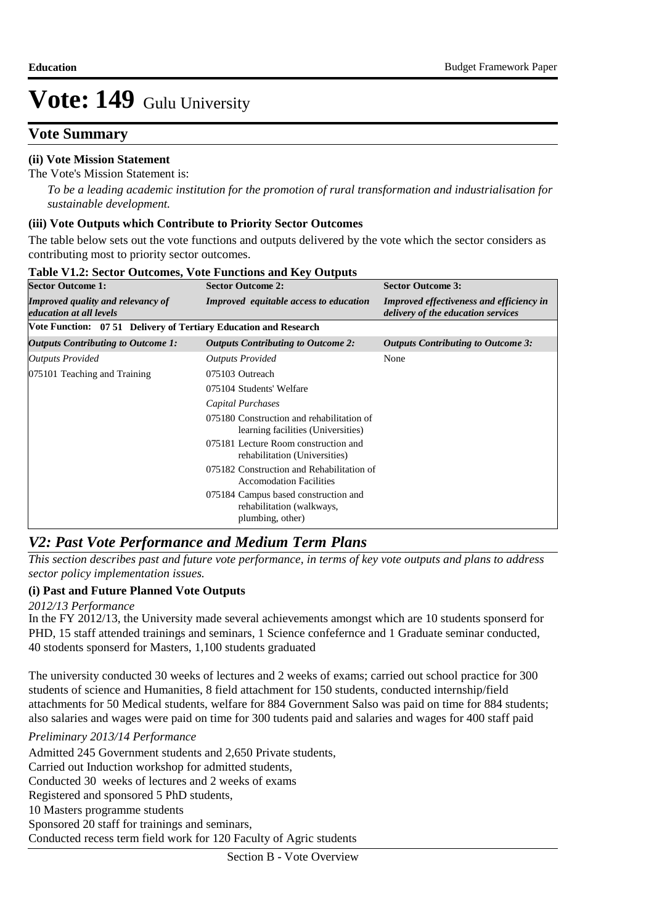### **Vote Summary**

#### **(ii) Vote Mission Statement**

The Vote's Mission Statement is:

*To be a leading academic institution for the promotion of rural transformation and industrialisation for sustainable development.*

#### **(iii) Vote Outputs which Contribute to Priority Sector Outcomes**

The table below sets out the vote functions and outputs delivered by the vote which the sector considers as contributing most to priority sector outcomes.

| <b>Sector Outcome 1:</b>                                            | <b>Sector Outcome 2:</b>                                                              | <b>Sector Outcome 3:</b>                                                              |
|---------------------------------------------------------------------|---------------------------------------------------------------------------------------|---------------------------------------------------------------------------------------|
| <b>Improved quality and relevancy of</b><br>education at all levels | <b>Improved</b> equitable access to education                                         | <b>Improved effectiveness and efficiency in</b><br>delivery of the education services |
| Vote Function: 07 51 Delivery of Tertiary Education and Research    |                                                                                       |                                                                                       |
| <b>Outputs Contributing to Outcome 1:</b>                           | <b>Outputs Contributing to Outcome 2:</b>                                             | <b>Outputs Contributing to Outcome 3:</b>                                             |
| <b>Outputs Provided</b>                                             | <b>Outputs Provided</b>                                                               | None                                                                                  |
| 075101 Teaching and Training                                        | 075103 Outreach                                                                       |                                                                                       |
|                                                                     | 075104 Students' Welfare                                                              |                                                                                       |
|                                                                     | Capital Purchases                                                                     |                                                                                       |
|                                                                     | 075180 Construction and rehabilitation of<br>learning facilities (Universities)       |                                                                                       |
|                                                                     | 075181 Lecture Room construction and<br>rehabilitation (Universities)                 |                                                                                       |
|                                                                     | 075182 Construction and Rehabilitation of<br><b>Accomodation Facilities</b>           |                                                                                       |
|                                                                     | 075184 Campus based construction and<br>rehabilitation (walkways,<br>plumbing, other) |                                                                                       |

#### **Table V1.2: Sector Outcomes, Vote Functions and Key Outputs**

### *V2: Past Vote Performance and Medium Term Plans*

*This section describes past and future vote performance, in terms of key vote outputs and plans to address sector policy implementation issues.* 

#### **(i) Past and Future Planned Vote Outputs**

#### *2012/13 Performance*

In the FY 2012/13, the University made several achievements amongst which are 10 students sponserd for PHD, 15 staff attended trainings and seminars, 1 Science confefernce and 1 Graduate seminar conducted, 40 stodents sponserd for Masters, 1,100 students graduated

The university conducted 30 weeks of lectures and 2 weeks of exams; carried out school practice for 300 students of science and Humanities, 8 field attachment for 150 students, conducted internship/field attachments for 50 Medical students, welfare for 884 Government Salso was paid on time for 884 students; also salaries and wages were paid on time for 300 tudents paid and salaries and wages for 400 staff paid

#### *Preliminary 2013/14 Performance*

Admitted 245 Government students and 2,650 Private students, Carried out Induction workshop for admitted students, Conducted 30 weeks of lectures and 2 weeks of exams Registered and sponsored 5 PhD students, 10 Masters programme students Sponsored 20 staff for trainings and seminars, Conducted recess term field work for 120 Faculty of Agric students

Section B - Vote Overview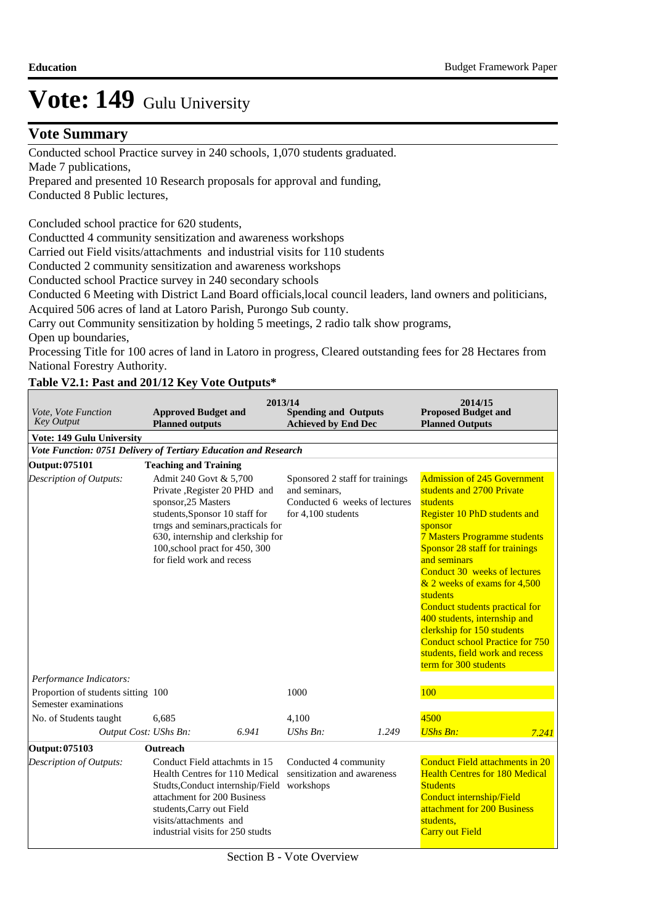### **Vote Summary**

Conducted school Practice survey in 240 schools, 1,070 students graduated. Made 7 publications,

Prepared and presented 10 Research proposals for approval and funding,

Conducted 8 Public lectures,

Concluded school practice for 620 students,

Conductted 4 community sensitization and awareness workshops

Carried out Field visits/attachments and industrial visits for 110 students

Conducted 2 community sensitization and awareness workshops

Conducted school Practice survey in 240 secondary schools

Conducted 6 Meeting with District Land Board officials,local council leaders, land owners and politicians, Acquired 506 acres of land at Latoro Parish, Purongo Sub county.

Carry out Community sensitization by holding 5 meetings, 2 radio talk show programs,

Open up boundaries,

Processing Title for 100 acres of land in Latoro in progress, Cleared outstanding fees for 28 Hectares from National Forestry Authority.

#### **Table V2.1: Past and 201/12 Key Vote Outputs\***

| Vote, Vote Function<br><b>Key Output</b>                        | <b>Approved Budget and</b><br><b>Planned outputs</b>                                                                                                                                                                                                      | 2013/14<br><b>Spending and Outputs</b><br><b>Achieved by End Dec</b>                                      |       | 2014/15<br><b>Proposed Budget and</b><br><b>Planned Outputs</b>                                                                                                                                                                                                                                                                                                                                                                                                                                                 |       |
|-----------------------------------------------------------------|-----------------------------------------------------------------------------------------------------------------------------------------------------------------------------------------------------------------------------------------------------------|-----------------------------------------------------------------------------------------------------------|-------|-----------------------------------------------------------------------------------------------------------------------------------------------------------------------------------------------------------------------------------------------------------------------------------------------------------------------------------------------------------------------------------------------------------------------------------------------------------------------------------------------------------------|-------|
| <b>Vote: 149 Gulu University</b>                                |                                                                                                                                                                                                                                                           |                                                                                                           |       |                                                                                                                                                                                                                                                                                                                                                                                                                                                                                                                 |       |
| Vote Function: 0751 Delivery of Tertiary Education and Research |                                                                                                                                                                                                                                                           |                                                                                                           |       |                                                                                                                                                                                                                                                                                                                                                                                                                                                                                                                 |       |
| <b>Output: 075101</b>                                           | <b>Teaching and Training</b>                                                                                                                                                                                                                              |                                                                                                           |       |                                                                                                                                                                                                                                                                                                                                                                                                                                                                                                                 |       |
| Description of Outputs:                                         | Admit 240 Govt & 5,700<br>Private , Register 20 PHD and<br>sponsor, 25 Masters<br>students, Sponsor 10 staff for<br>trngs and seminars, practicals for<br>630, internship and clerkship for<br>100,school pract for 450, 300<br>for field work and recess | Sponsored 2 staff for trainings<br>and seminars.<br>Conducted 6 weeks of lectures<br>for $4,100$ students |       | <b>Admission of 245 Government</b><br>students and 2700 Private<br>students<br><b>Register 10 PhD students and</b><br>sponsor<br><b>7 Masters Programme students</b><br><b>Sponsor 28 staff for trainings</b><br>and seminars<br>Conduct 30 weeks of lectures<br>& 2 weeks of exams for 4,500<br>students<br>Conduct students practical for<br>400 students, internship and<br>clerkship for 150 students<br><b>Conduct school Practice for 750</b><br>students, field work and recess<br>term for 300 students |       |
| Performance Indicators:                                         |                                                                                                                                                                                                                                                           |                                                                                                           |       |                                                                                                                                                                                                                                                                                                                                                                                                                                                                                                                 |       |
| Proportion of students sitting 100<br>Semester examinations     |                                                                                                                                                                                                                                                           | 1000                                                                                                      |       | 100                                                                                                                                                                                                                                                                                                                                                                                                                                                                                                             |       |
| No. of Students taught                                          | 6.685                                                                                                                                                                                                                                                     | 4.100                                                                                                     |       | 4500                                                                                                                                                                                                                                                                                                                                                                                                                                                                                                            |       |
| Output Cost: UShs Bn:                                           | 6.941                                                                                                                                                                                                                                                     | $UShs Bn$ :                                                                                               | 1.249 | <b>UShs Bn:</b>                                                                                                                                                                                                                                                                                                                                                                                                                                                                                                 | 7.241 |
| Output: 075103                                                  | Outreach                                                                                                                                                                                                                                                  |                                                                                                           |       |                                                                                                                                                                                                                                                                                                                                                                                                                                                                                                                 |       |
| Description of Outputs:                                         | Conduct Field attachmts in 15<br>Health Centres for 110 Medical<br>Studts, Conduct internship/Field<br>attachment for 200 Business<br>students, Carry out Field<br>visits/attachments and<br>industrial visits for 250 studts                             | Conducted 4 community<br>sensitization and awareness<br>workshops                                         |       | <b>Conduct Field attachments in 20</b><br><b>Health Centres for 180 Medical</b><br><b>Students</b><br>Conduct internship/Field<br>attachment for 200 Business<br>students.<br><b>Carry out Field</b>                                                                                                                                                                                                                                                                                                            |       |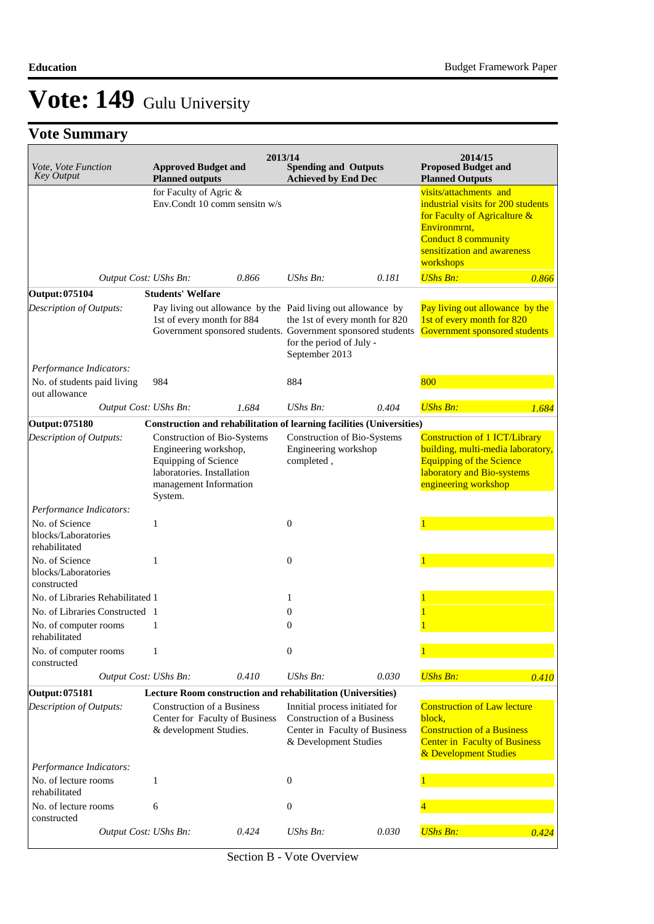## **Vote Summary**

|                                                        |                                                                                                                                                        |       | 2013/14                                                                                                                                                                                                      |       | 2014/15                                                                                                                                                                                |       |
|--------------------------------------------------------|--------------------------------------------------------------------------------------------------------------------------------------------------------|-------|--------------------------------------------------------------------------------------------------------------------------------------------------------------------------------------------------------------|-------|----------------------------------------------------------------------------------------------------------------------------------------------------------------------------------------|-------|
| Vote, Vote Function<br><b>Key Output</b>               | <b>Approved Budget and</b><br><b>Planned outputs</b>                                                                                                   |       | <b>Spending and Outputs</b><br><b>Achieved by End Dec</b>                                                                                                                                                    |       | <b>Proposed Budget and</b><br><b>Planned Outputs</b>                                                                                                                                   |       |
|                                                        | for Faculty of Agric &<br>Env.Condt 10 comm sensitn w/s                                                                                                |       |                                                                                                                                                                                                              |       | visits/attachments and<br>industrial visits for 200 students<br>for Faculty of Agricalture &<br>Environmrnt,<br><b>Conduct 8 community</b><br>sensitization and awareness<br>workshops |       |
| Output Cost: UShs Bn:                                  |                                                                                                                                                        | 0.866 | $UShs Bn$ :                                                                                                                                                                                                  | 0.181 | <b>UShs Bn:</b>                                                                                                                                                                        | 0.866 |
| Output: 075104                                         | <b>Students' Welfare</b>                                                                                                                               |       |                                                                                                                                                                                                              |       |                                                                                                                                                                                        |       |
| Description of Outputs:                                | 1st of every month for 884                                                                                                                             |       | Pay living out allowance by the Paid living out allowance by<br>the 1st of every month for 820<br>Government sponsored students. Government sponsored students<br>for the period of July -<br>September 2013 |       | Pay living out allowance by the<br>1st of every month for 820<br>Government sponsored students                                                                                         |       |
| Performance Indicators:                                |                                                                                                                                                        |       |                                                                                                                                                                                                              |       |                                                                                                                                                                                        |       |
| No. of students paid living<br>out allowance           | 984                                                                                                                                                    |       | 884                                                                                                                                                                                                          |       | 800                                                                                                                                                                                    |       |
| Output Cost: UShs Bn:                                  |                                                                                                                                                        | 1.684 | $UShs Bn$ :                                                                                                                                                                                                  | 0.404 | <b>UShs Bn:</b>                                                                                                                                                                        | 1.684 |
| Output: 075180                                         |                                                                                                                                                        |       | Construction and rehabilitation of learning facilities (Universities)                                                                                                                                        |       |                                                                                                                                                                                        |       |
| Description of Outputs:                                | <b>Construction of Bio-Systems</b><br>Engineering workshop,<br>Equipping of Science<br>laboratories. Installation<br>management Information<br>System. |       | Construction of Bio-Systems<br>Engineering workshop<br>completed,                                                                                                                                            |       | <b>Construction of 1 ICT/Library</b><br>building, multi-media laboratory,<br><b>Equipping of the Science</b><br>laboratory and Bio-systems<br>engineering workshop                     |       |
| Performance Indicators:                                |                                                                                                                                                        |       |                                                                                                                                                                                                              |       |                                                                                                                                                                                        |       |
| No. of Science<br>blocks/Laboratories<br>rehabilitated | 1                                                                                                                                                      |       | $\boldsymbol{0}$                                                                                                                                                                                             |       |                                                                                                                                                                                        |       |
| No. of Science<br>blocks/Laboratories<br>constructed   | 1                                                                                                                                                      |       | $\boldsymbol{0}$                                                                                                                                                                                             |       |                                                                                                                                                                                        |       |
| No. of Libraries Rehabilitated 1                       |                                                                                                                                                        |       | 1                                                                                                                                                                                                            |       |                                                                                                                                                                                        |       |
| No. of Libraries Constructed 1                         |                                                                                                                                                        |       | 0                                                                                                                                                                                                            |       |                                                                                                                                                                                        |       |
| No. of computer rooms<br>rehabilitated                 | 1                                                                                                                                                      |       | $\overline{0}$                                                                                                                                                                                               |       |                                                                                                                                                                                        |       |
| No. of computer rooms<br>constructed                   | 1                                                                                                                                                      |       | $\boldsymbol{0}$                                                                                                                                                                                             |       |                                                                                                                                                                                        |       |
| Output Cost: UShs Bn:                                  |                                                                                                                                                        | 0.410 | $UShs Bn$ :                                                                                                                                                                                                  | 0.030 | <b>UShs Bn:</b>                                                                                                                                                                        | 0.410 |
| Output: 075181                                         |                                                                                                                                                        |       | Lecture Room construction and rehabilitation (Universities)                                                                                                                                                  |       |                                                                                                                                                                                        |       |
| Description of Outputs:                                | <b>Construction of a Business</b><br>Center for Faculty of Business<br>& development Studies.                                                          |       | Innitial process initiated for<br><b>Construction of a Business</b><br>Center in Faculty of Business<br>& Development Studies                                                                                |       | <b>Construction of Law lecture</b><br>block,<br><b>Construction of a Business</b><br><b>Center in Faculty of Business</b><br>& Development Studies                                     |       |
| Performance Indicators:                                |                                                                                                                                                        |       |                                                                                                                                                                                                              |       |                                                                                                                                                                                        |       |
| No. of lecture rooms<br>rehabilitated                  | $\mathbf{1}$                                                                                                                                           |       | $\mathbf{0}$                                                                                                                                                                                                 |       |                                                                                                                                                                                        |       |
| No. of lecture rooms<br>constructed                    | 6                                                                                                                                                      |       | $\mathbf{0}$                                                                                                                                                                                                 |       |                                                                                                                                                                                        |       |
| Output Cost: UShs Bn:                                  |                                                                                                                                                        | 0.424 | UShs Bn:                                                                                                                                                                                                     | 0.030 | <b>UShs Bn:</b>                                                                                                                                                                        | 0.424 |

Section B - Vote Overview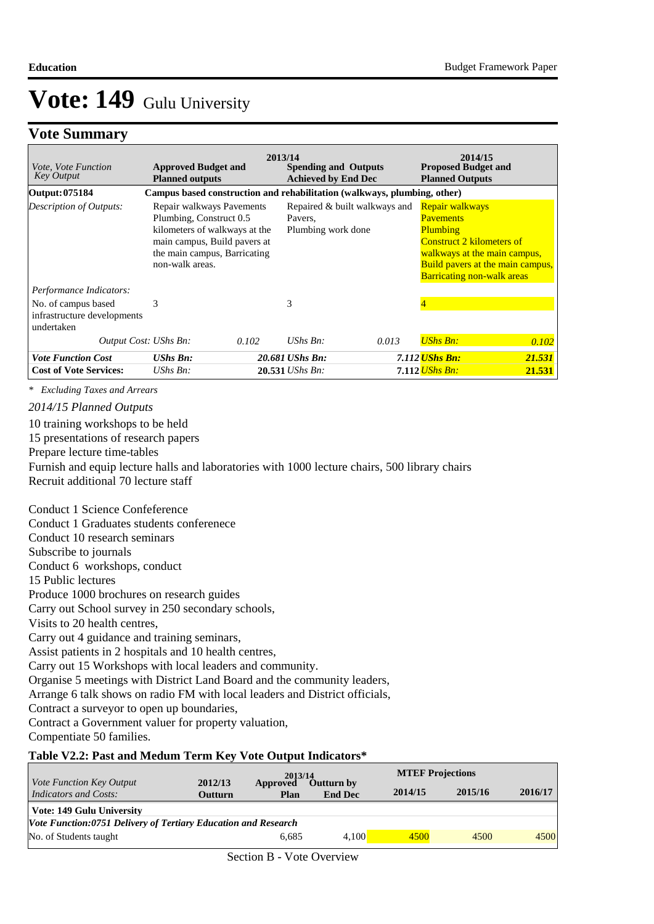#### **Vote Summary**

| <i>Vote, Vote Function</i><br><b>Key Output</b>                  | <b>Approved Budget and</b><br><b>Planned outputs</b>                                                                                                                     | 2013/14 | <b>Spending and Outputs</b><br><b>Achieved by End Dec</b>                |       | 2014/15<br><b>Proposed Budget and</b><br><b>Planned Outputs</b>                                                                                                                              |                  |
|------------------------------------------------------------------|--------------------------------------------------------------------------------------------------------------------------------------------------------------------------|---------|--------------------------------------------------------------------------|-------|----------------------------------------------------------------------------------------------------------------------------------------------------------------------------------------------|------------------|
| Output: 075184                                                   |                                                                                                                                                                          |         | Campus based construction and rehabilitation (walkways, plumbing, other) |       |                                                                                                                                                                                              |                  |
| Description of Outputs:                                          | Repair walkways Pavements<br>Plumbing, Construct 0.5<br>kilometers of walkways at the<br>main campus, Build payers at<br>the main campus, Barricating<br>non-walk areas. |         | Repaired & built walkways and<br>Pavers,<br>Plumbing work done           |       | Repair walkways<br><b>Pavements</b><br>Plumbing<br><b>Construct 2 kilometers of</b><br>walkways at the main campus,<br>Build pavers at the main campus,<br><b>Barricating non-walk areas</b> |                  |
| Performance Indicators:                                          |                                                                                                                                                                          |         |                                                                          |       |                                                                                                                                                                                              |                  |
| No. of campus based<br>infrastructure developments<br>undertaken | 3                                                                                                                                                                        |         | 3                                                                        |       |                                                                                                                                                                                              |                  |
| Output Cost: UShs Bn:                                            |                                                                                                                                                                          | 0.102   | UShs $Bn$ :                                                              | 0.013 | <b>UShs Bn:</b>                                                                                                                                                                              | 0.102            |
| <b>Vote Function Cost</b><br><b>Cost of Vote Services:</b>       | UShs Bn:<br>UShs $Bn$ :                                                                                                                                                  |         | 20.681 UShs Bn:<br>$20.531$ UShs Bn:                                     |       | 7.112 UShs Bn:<br>7.112 <i>UShs Bn:</i>                                                                                                                                                      | 21.531<br>21.531 |

*\* Excluding Taxes and Arrears*

#### *2014/15 Planned Outputs*

10 training workshops to be held

15 presentations of research papers

Prepare lecture time-tables

Furnish and equip lecture halls and laboratories with 1000 lecture chairs, 500 library chairs Recruit additional 70 lecture staff

#### Conduct 1 Science Confeference Conduct 1 Graduates students conferenece Conduct 10 research seminars Subscribe to journals Conduct 6 workshops, conduct 15 Public lectures Produce 1000 brochures on research guides Carry out School survey in 250 secondary schools, Visits to 20 health centres, Carry out 4 guidance and training seminars, Assist patients in 2 hospitals and 10 health centres, Carry out 15 Workshops with local leaders and community. Organise 5 meetings with District Land Board and the community leaders, Arrange 6 talk shows on radio FM with local leaders and District officials, Contract a surveyor to open up boundaries, Contract a Government valuer for property valuation, Compentiate 50 families.

#### **Table V2.2: Past and Medum Term Key Vote Output Indicators\***

|                                                                |                    | 2013/14          |                                     | <b>MTEF Projections</b> |         |         |
|----------------------------------------------------------------|--------------------|------------------|-------------------------------------|-------------------------|---------|---------|
| Vote Function Key Output<br><b>Indicators and Costs:</b>       | 2012/13<br>Outturn | Approved<br>Plan | <b>Outturn by</b><br><b>End Dec</b> | 2014/15                 | 2015/16 | 2016/17 |
| Vote: 149 Gulu University                                      |                    |                  |                                     |                         |         |         |
| Vote Function:0751 Delivery of Tertiary Education and Research |                    |                  |                                     |                         |         |         |
| No. of Students taught                                         |                    | 6.685            | 4.100                               | 4500                    | 4500    | 4500    |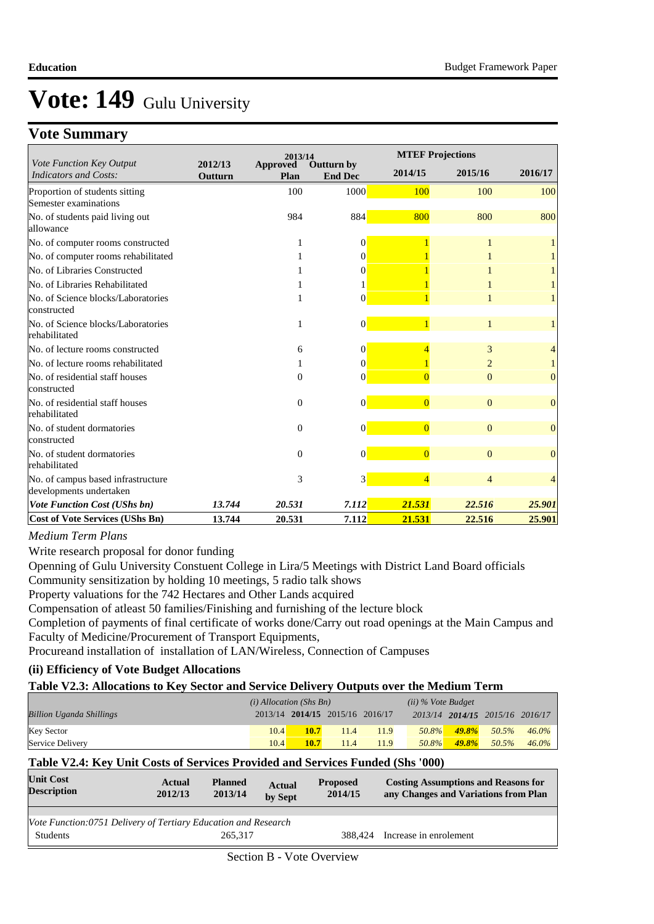### **Vote Summary**

|                                                               |                    | 2013/14          |                                     | <b>MTEF Projections</b> |                |                |
|---------------------------------------------------------------|--------------------|------------------|-------------------------------------|-------------------------|----------------|----------------|
| Vote Function Key Output<br>Indicators and Costs:             | 2012/13<br>Outturn | Approved<br>Plan | <b>Outturn by</b><br><b>End Dec</b> | 2014/15                 | 2015/16        | 2016/17        |
| Proportion of students sitting<br>Semester examinations       |                    | 100              | 1000                                | 100                     | 100            | 100            |
| No. of students paid living out<br>allowance                  |                    | 984              | 884                                 | 800                     | 800            | 800            |
| No. of computer rooms constructed                             |                    |                  | $\Omega$                            |                         |                |                |
| No. of computer rooms rehabilitated                           |                    |                  | 0                                   |                         |                |                |
| No. of Libraries Constructed                                  |                    |                  |                                     |                         |                |                |
| No. of Libraries Rehabilitated                                |                    |                  |                                     |                         |                |                |
| No. of Science blocks/Laboratories<br>constructed             |                    |                  | $\Omega$                            |                         |                |                |
| No. of Science blocks/Laboratories<br>rehabilitated           |                    |                  | $\overline{0}$                      |                         |                |                |
| No. of lecture rooms constructed                              |                    | 6                | $\Omega$                            |                         | 3              |                |
| No. of lecture rooms rehabilitated                            |                    |                  | 0                                   |                         | $\overline{2}$ |                |
| No. of residential staff houses<br>constructed                |                    | $\theta$         | $\theta$                            |                         | $\Omega$       | $\overline{0}$ |
| No. of residential staff houses<br>rehabilitated              |                    | $\theta$         | $\Omega$                            | $\overline{0}$          | $\Omega$       | $\overline{0}$ |
| No. of student dormatories<br>constructed                     |                    | $\mathbf{0}$     | $\Omega$                            | $\overline{0}$          | $\Omega$       | $\overline{0}$ |
| No. of student dormatories<br>rehabilitated                   |                    | $\theta$         | $\Omega$                            | $\overline{0}$          | $\Omega$       | $\overline{0}$ |
| No. of campus based infrastructure<br>developments undertaken |                    | 3                | $\overline{3}$                      | $\overline{4}$          | $\overline{4}$ | 4              |
| <b>Vote Function Cost (UShs bn)</b>                           | 13.744             | 20.531           | 7.112                               | 21.531                  | 22.516         | 25.901         |
| <b>Cost of Vote Services (UShs Bn)</b>                        | 13.744             | 20.531           | 7.112                               | 21.531                  | 22.516         | 25.901         |

#### *Medium Term Plans*

Write research proposal for donor funding

Openning of Gulu University Constuent College in Lira/5 Meetings with District Land Board officials

Community sensitization by holding 10 meetings, 5 radio talk shows

Property valuations for the 742 Hectares and Other Lands acquired

Compensation of atleast 50 families/Finishing and furnishing of the lecture block

Completion of payments of final certificate of works done/Carry out road openings at the Main Campus and Faculty of Medicine/Procurement of Transport Equipments,

Procureand installation of installation of LAN/Wireless, Connection of Campuses

#### **(ii) Efficiency of Vote Budget Allocations**

#### **Table V2.3: Allocations to Key Sector and Service Delivery Outputs over the Medium Term**

|                                 | $(i)$ Allocation (Shs Bn) |                                 |      |      | $(ii)$ % Vote Budget |                                 |       |          |
|---------------------------------|---------------------------|---------------------------------|------|------|----------------------|---------------------------------|-------|----------|
| <b>Billion Uganda Shillings</b> |                           | 2013/14 2014/15 2015/16 2016/17 |      |      |                      | 2013/14 2014/15 2015/16 2016/17 |       |          |
| <b>Key Sector</b>               | 10.4'                     | 10.7                            | 11.4 | 11.9 | 50.8%                | $49.8\%$                        | 50.5% | $46.0\%$ |
| Service Delivery                | 10.4                      | 10.7                            | 11.4 | 11.9 | 50.8%                | $49.8\%$                        | 50.5% | $46.0\%$ |

#### **Table V2.4: Key Unit Costs of Services Provided and Services Funded (Shs '000)**

| <b>Unit Cost</b><br><b>Description</b> | Actual<br>2012/13                                              | <b>Planned</b><br>2013/14 | <b>Actual</b><br>by Sept | <b>Proposed</b><br>2014/15 | <b>Costing Assumptions and Reasons for</b><br>any Changes and Variations from Plan |  |  |  |
|----------------------------------------|----------------------------------------------------------------|---------------------------|--------------------------|----------------------------|------------------------------------------------------------------------------------|--|--|--|
|                                        |                                                                |                           |                          |                            |                                                                                    |  |  |  |
|                                        | Vote Function:0751 Delivery of Tertiary Education and Research |                           |                          |                            |                                                                                    |  |  |  |
| Students                               |                                                                | 265,317                   |                          | 388.424                    | Increase in enrolement                                                             |  |  |  |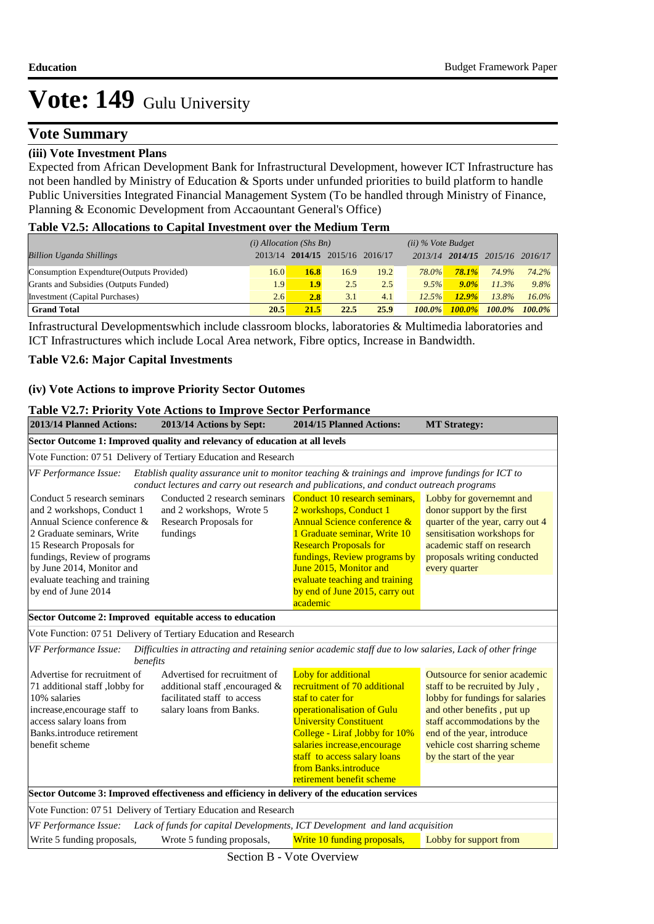#### **Vote Summary**

#### **(iii) Vote Investment Plans**

Expected from African Development Bank for Infrastructural Development, however ICT Infrastructure has not been handled by Ministry of Education & Sports under unfunded priorities to build platform to handle Public Universities Integrated Financial Management System (To be handled through Ministry of Finance, Planning & Economic Development from Accaountant General's Office)

#### **Table V2.5: Allocations to Capital Investment over the Medium Term**

|                                           | $(i)$ Allocation (Shs Bn) |      |                         |      | $(ii)$ % Vote Budget |              |           |           |
|-------------------------------------------|---------------------------|------|-------------------------|------|----------------------|--------------|-----------|-----------|
| <b>Billion Uganda Shillings</b>           | 2013/14                   |      | 2014/15 2015/16 2016/17 |      | 2013/14              | 2014/15      | 2015/16   | 2016/17   |
| Consumption Expendture (Outputs Provided) | 16.0                      | 16.8 | 16.9                    | 19.2 | 78.0%                | <b>78.1%</b> | 74.9%     | 74.2%     |
| Grants and Subsidies (Outputs Funded)     | 1.9                       | 1.9  | 2.5                     | 2.5  | 9.5%                 | $9.0\%$      | 11.3%     | 9.8%      |
| Investment (Capital Purchases)            | 2.6                       | 2.8  | 3.1                     | 4.1  | 12.5%                | 12.9%        | 13.8%     | $16.0\%$  |
| <b>Grand Total</b>                        | 20.5                      | 21.5 | 22.5                    | 25.9 | $100.0\%$            | $100.0\%$    | $100.0\%$ | $100.0\%$ |

Infrastructural Developmentswhich include classroom blocks, laboratories & Multimedia laboratories and ICT Infrastructures which include Local Area network, Fibre optics, Increase in Bandwidth.

#### **Table V2.6: Major Capital Investments**

#### **(iv) Vote Actions to improve Priority Sector Outomes**

#### **Table V2.7: Priority Vote Actions to Improve Sector Performance**

| 2013/14 Planned Actions:                                                                                                                                                                                                                                                  | 2013/14 Actions by Sept:                                                                                                                                                                   | 2014/15 Planned Actions:                                                                                                                                                                                                                                                                       | <b>MT Strategy:</b>                                                                                                                                                                                                                                       |
|---------------------------------------------------------------------------------------------------------------------------------------------------------------------------------------------------------------------------------------------------------------------------|--------------------------------------------------------------------------------------------------------------------------------------------------------------------------------------------|------------------------------------------------------------------------------------------------------------------------------------------------------------------------------------------------------------------------------------------------------------------------------------------------|-----------------------------------------------------------------------------------------------------------------------------------------------------------------------------------------------------------------------------------------------------------|
|                                                                                                                                                                                                                                                                           | Sector Outcome 1: Improved quality and relevancy of education at all levels                                                                                                                |                                                                                                                                                                                                                                                                                                |                                                                                                                                                                                                                                                           |
|                                                                                                                                                                                                                                                                           | Vote Function: 07 51 Delivery of Tertiary Education and Research                                                                                                                           |                                                                                                                                                                                                                                                                                                |                                                                                                                                                                                                                                                           |
| VF Performance Issue:                                                                                                                                                                                                                                                     | Etablish quality assurance unit to monitor teaching & trainings and improve fundings for ICT to<br>conduct lectures and carry out research and publications, and conduct outreach programs |                                                                                                                                                                                                                                                                                                |                                                                                                                                                                                                                                                           |
| Conduct 5 research seminars<br>and 2 workshops, Conduct 1<br>Annual Science conference &<br>2 Graduate seminars, Write<br>15 Research Proposals for<br>fundings, Review of programs<br>by June 2014, Monitor and<br>evaluate teaching and training<br>by end of June 2014 | Conducted 2 research seminars<br>and 2 workshops, Wrote 5<br>Research Proposals for<br>fundings                                                                                            | Conduct 10 research seminars,<br>2 workshops, Conduct 1<br>Annual Science conference &<br>1 Graduate seminar, Write 10<br><b>Research Proposals for</b><br>fundings, Review programs by<br>June 2015, Monitor and<br>evaluate teaching and training<br>by end of June 2015, carry out          | Lobby for governemnt and<br>donor support by the first<br>quarter of the year, carry out 4<br>sensitisation workshops for<br>academic staff on research<br>proposals writing conducted<br>every quarter                                                   |
|                                                                                                                                                                                                                                                                           |                                                                                                                                                                                            | academic                                                                                                                                                                                                                                                                                       |                                                                                                                                                                                                                                                           |
| Sector Outcome 2: Improved equitable access to education                                                                                                                                                                                                                  |                                                                                                                                                                                            |                                                                                                                                                                                                                                                                                                |                                                                                                                                                                                                                                                           |
|                                                                                                                                                                                                                                                                           | Vote Function: 07 51 Delivery of Tertiary Education and Research                                                                                                                           |                                                                                                                                                                                                                                                                                                |                                                                                                                                                                                                                                                           |
| <b>VF Performance Issue:</b><br>benefits                                                                                                                                                                                                                                  | Difficulties in attracting and retaining senior academic staff due to low salaries, Lack of other fringe                                                                                   |                                                                                                                                                                                                                                                                                                |                                                                                                                                                                                                                                                           |
| Advertise for recruitment of<br>71 additional staff, lobby for<br>10% salaries<br>increase, encourage staff to<br>access salary loans from<br>Banks.introduce retirement<br>benefit scheme                                                                                | Advertised for recruitment of<br>additional staff , encouraged &<br>facilitated staff to access<br>salary loans from Banks.                                                                | Loby for additional<br>recruitment of 70 additional<br>staf to cater for<br>operationalisation of Gulu<br><b>University Constituent</b><br>College - Liraf, lobby for 10%<br>salaries increase, encourage<br>staff to access salary loans<br>from Banks.introduce<br>retirement benefit scheme | Outsource for senior academic<br>staff to be recruited by July,<br>lobby for fundings for salaries<br>and other benefits, put up<br>staff accommodations by the<br>end of the year, introduce<br>vehicle cost sharring scheme<br>by the start of the year |
|                                                                                                                                                                                                                                                                           | Sector Outcome 3: Improved effectiveness and efficiency in delivery of the education services                                                                                              |                                                                                                                                                                                                                                                                                                |                                                                                                                                                                                                                                                           |
|                                                                                                                                                                                                                                                                           | Vote Function: 07 51 Delivery of Tertiary Education and Research                                                                                                                           |                                                                                                                                                                                                                                                                                                |                                                                                                                                                                                                                                                           |
| VF Performance Issue:                                                                                                                                                                                                                                                     | Lack of funds for capital Developments, ICT Development and land acquisition                                                                                                               |                                                                                                                                                                                                                                                                                                |                                                                                                                                                                                                                                                           |
| Write 5 funding proposals,                                                                                                                                                                                                                                                | Wrote 5 funding proposals,                                                                                                                                                                 | Write 10 funding proposals,                                                                                                                                                                                                                                                                    | Lobby for support from                                                                                                                                                                                                                                    |

Section B - Vote Overview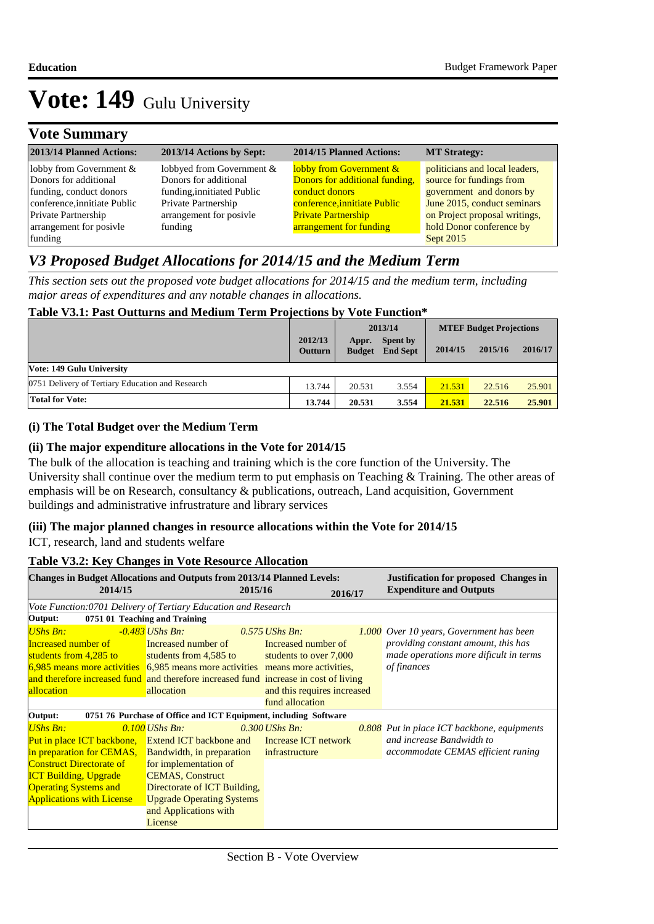### **Vote Summary**

| 2013/14 Planned Actions:     | 2013/14 Actions by Sept:   | 2014/15 Planned Actions:           | <b>MT Strategy:</b>            |
|------------------------------|----------------------------|------------------------------------|--------------------------------|
| lobby from Government &      | lobbyed from Government &  | <b>lobby from Government &amp;</b> | politicians and local leaders, |
| Donors for additional        | Donors for additional      | Donors for additional funding,     | source for fundings from       |
| funding, conduct donors      | funding, innitiated Public | conduct donors                     | government and donors by       |
| conference, innitiate Public | Private Partnership        | conference, innitiate Public       | June 2015, conduct seminars    |
| Private Partnership          | arrangement for posivle    | <b>Private Partnership</b>         | on Project proposal writings,  |
| arrangement for posivle      | funding                    | arrangement for funding            | hold Donor conference by       |
| funding                      |                            |                                    | <b>Sept 2015</b>               |

### *V3 Proposed Budget Allocations for 2014/15 and the Medium Term*

*This section sets out the proposed vote budget allocations for 2014/15 and the medium term, including major areas of expenditures and any notable changes in allocations.* 

#### **Table V3.1: Past Outturns and Medium Term Projections by Vote Function\***

|                                                  |                           |                        | 2013/14                            | <b>MTEF Budget Projections</b> |         |         |
|--------------------------------------------------|---------------------------|------------------------|------------------------------------|--------------------------------|---------|---------|
|                                                  | 2012/13<br><b>Outturn</b> | Appr.<br><b>Budget</b> | <b>Spent by</b><br><b>End Sept</b> | 2014/15                        | 2015/16 | 2016/17 |
| Vote: 149 Gulu University                        |                           |                        |                                    |                                |         |         |
| 0751 Delivery of Tertiary Education and Research | 13.744                    | 20.531                 | 3.554                              | 21.531                         | 22.516  | 25,901  |
| <b>Total for Vote:</b>                           | 13.744                    | 20.531                 | 3.554                              | 21.531                         | 22.516  | 25,901  |

#### **(i) The Total Budget over the Medium Term**

#### **(ii) The major expenditure allocations in the Vote for 2014/15**

The bulk of the allocation is teaching and training which is the core function of the University. The University shall continue over the medium term to put emphasis on Teaching & Training. The other areas of emphasis will be on Research, consultancy & publications, outreach, Land acquisition, Government buildings and administrative infrustrature and library services

### **(iii) The major planned changes in resource allocations within the Vote for 2014/15**

ICT, research, land and students welfare

#### **Table V3.2: Key Changes in Vote Resource Allocation**

| <b>Changes in Budget Allocations and Outputs from 2013/14 Planned Levels:</b><br>2014/15 |                                                                  | 2015/16 |                             | 2016/17 | <b>Justification for proposed Changes in</b><br><b>Expenditure and Outputs</b> |
|------------------------------------------------------------------------------------------|------------------------------------------------------------------|---------|-----------------------------|---------|--------------------------------------------------------------------------------|
| Vote Function:0701 Delivery of Tertiary Education and Research                           |                                                                  |         |                             |         |                                                                                |
| Output:                                                                                  | 0751 01 Teaching and Training                                    |         |                             |         |                                                                                |
| $UShs Bn:$                                                                               | $-0.483$ UShs Bn:                                                |         | $0.575$ UShs Bn:            |         | 1.000 Over 10 years, Government has been                                       |
| Increased number of                                                                      | Increased number of                                              |         | Increased number of         |         | providing constant amount, this has                                            |
| students from 4,285 to students from 4,585 to                                            |                                                                  |         | students to over 7,000      |         | made operations more dificult in terms                                         |
| 6,985 means more activities 6,985 means more activities means more activities,           |                                                                  |         |                             |         | of finances                                                                    |
| and therefore increased fund and therefore increased fund increase in cost of living     |                                                                  |         |                             |         |                                                                                |
| allocation                                                                               | allocation                                                       |         | and this requires increased |         |                                                                                |
|                                                                                          |                                                                  |         | fund allocation             |         |                                                                                |
| Output:                                                                                  | 0751 76 Purchase of Office and ICT Equipment, including Software |         |                             |         |                                                                                |
| <b>UShs Bn:</b>                                                                          | $0.100$ UShs Bn:                                                 |         | $0.300$ UShs Bn:            |         | <b>0.808</b> Put in place ICT backbone, equipments                             |
| <b>Put in place ICT backbone,</b> Extend ICT backbone and                                |                                                                  |         | Increase ICT network        |         | and increase Bandwidth to                                                      |
| in preparation for CEMAS, Bandwidth, in preparation                                      |                                                                  |         | infrastructure              |         | accommodate CEMAS efficient runing                                             |
| <b>Construct Directorate of</b>                                                          | for implementation of                                            |         |                             |         |                                                                                |
| <b>ICT Building, Upgrade</b>                                                             | <b>CEMAS, Construct</b>                                          |         |                             |         |                                                                                |
| <b>Operating Systems and</b>                                                             | Directorate of ICT Building,                                     |         |                             |         |                                                                                |
| <b>Applications with License</b>                                                         | <b>Upgrade Operating Systems</b>                                 |         |                             |         |                                                                                |
|                                                                                          | and Applications with                                            |         |                             |         |                                                                                |
|                                                                                          | License                                                          |         |                             |         |                                                                                |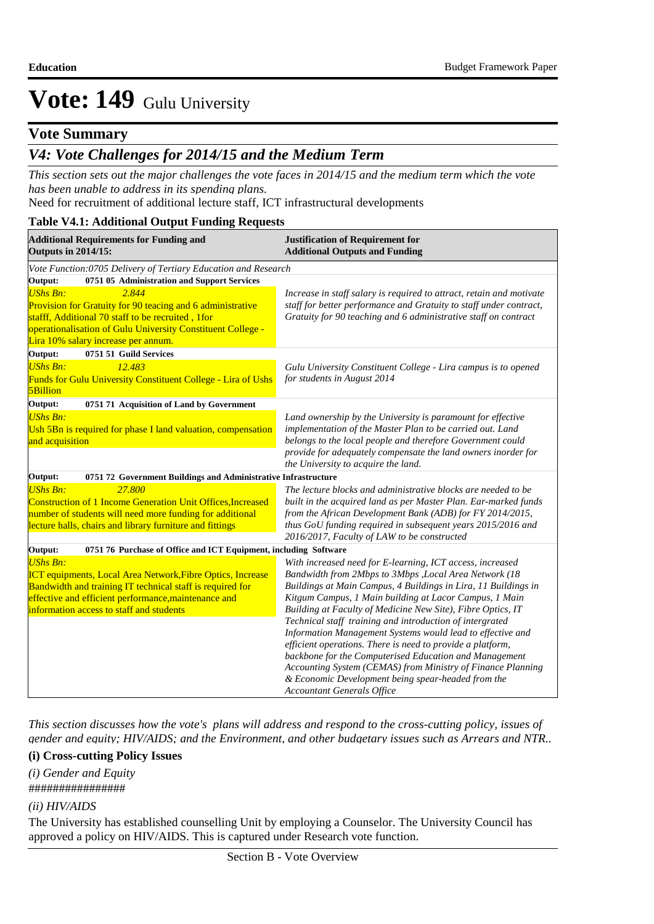### **Vote Summary**

## *V4: Vote Challenges for 2014/15 and the Medium Term*

*This section sets out the major challenges the vote faces in 2014/15 and the medium term which the vote has been unable to address in its spending plans.*

Need for recruitment of additional lecture staff, ICT infrastructural developments

#### **Table V4.1: Additional Output Funding Requests**

| <b>Additional Requirements for Funding and</b><br><b>Outputs in 2014/15:</b>                                                                                                                                                                                                                                | <b>Justification of Requirement for</b><br><b>Additional Outputs and Funding</b>                                                                                                                                                                                                                                                                                                                                                                                                                                                                                                                                                                                                                                           |
|-------------------------------------------------------------------------------------------------------------------------------------------------------------------------------------------------------------------------------------------------------------------------------------------------------------|----------------------------------------------------------------------------------------------------------------------------------------------------------------------------------------------------------------------------------------------------------------------------------------------------------------------------------------------------------------------------------------------------------------------------------------------------------------------------------------------------------------------------------------------------------------------------------------------------------------------------------------------------------------------------------------------------------------------------|
| Vote Function:0705 Delivery of Tertiary Education and Research                                                                                                                                                                                                                                              |                                                                                                                                                                                                                                                                                                                                                                                                                                                                                                                                                                                                                                                                                                                            |
| Output:<br>0751 05 Administration and Support Services<br><b>UShs Bn:</b><br>2.844<br>Provision for Gratuity for 90 teacing and 6 administrative<br>stafff, Additional 70 staff to be recruited, 1for<br>operationalisation of Gulu University Constituent College -<br>Lira 10% salary increase per annum. | Increase in staff salary is required to attract, retain and motivate<br>staff for better performance and Gratuity to staff under contract,<br>Gratuity for 90 teaching and 6 administrative staff on contract                                                                                                                                                                                                                                                                                                                                                                                                                                                                                                              |
| 0751 51 Guild Services<br>Output:<br><b>UShs Bn:</b><br>12.483<br>Funds for Gulu University Constituent College - Lira of Ushs<br><b>5Billion</b>                                                                                                                                                           | Gulu University Constituent College - Lira campus is to opened<br>for students in August 2014                                                                                                                                                                                                                                                                                                                                                                                                                                                                                                                                                                                                                              |
| Output:<br>0751 71 Acquisition of Land by Government<br><b>UShs Bn:</b><br>Ush 5Bn is required for phase I land valuation, compensation<br>and acquisition                                                                                                                                                  | Land ownership by the University is paramount for effective<br>implementation of the Master Plan to be carried out. Land<br>belongs to the local people and therefore Government could<br>provide for adequately compensate the land owners inorder for<br>the University to acquire the land.                                                                                                                                                                                                                                                                                                                                                                                                                             |
| Output:<br>0751 72 Government Buildings and Administrative Infrastructure                                                                                                                                                                                                                                   |                                                                                                                                                                                                                                                                                                                                                                                                                                                                                                                                                                                                                                                                                                                            |
| <b>UShs Bn:</b><br>27,800<br><b>Construction of 1 Income Generation Unit Offices, Increased</b><br>number of students will need more funding for additional<br>lecture halls, chairs and library furniture and fittings                                                                                     | The lecture blocks and administrative blocks are needed to be<br>built in the acquired land as per Master Plan. Ear-marked funds<br>from the African Development Bank (ADB) for FY 2014/2015,<br>thus GoU funding required in subsequent years 2015/2016 and<br>2016/2017, Faculty of LAW to be constructed                                                                                                                                                                                                                                                                                                                                                                                                                |
| 0751 76 Purchase of Office and ICT Equipment, including Software<br>Output:                                                                                                                                                                                                                                 |                                                                                                                                                                                                                                                                                                                                                                                                                                                                                                                                                                                                                                                                                                                            |
| <b>UShs Bn:</b><br>ICT equipments, Local Area Network, Fibre Optics, Increase<br>Bandwidth and training IT technical staff is required for<br>effective and efficient performance, maintenance and<br>information access to staff and students                                                              | With increased need for E-learning, ICT access, increased<br>Bandwidth from 2Mbps to 3Mbps , Local Area Network (18<br>Buildings at Main Campus, 4 Buildings in Lira, 11 Buildings in<br>Kitgum Campus, 1 Main building at Lacor Campus, 1 Main<br>Building at Faculty of Medicine New Site), Fibre Optics, IT<br>Technical staff training and introduction of intergrated<br>Information Management Systems would lead to effective and<br>efficient operations. There is need to provide a platform,<br>backbone for the Computerised Education and Management<br>Accounting System (CEMAS) from Ministry of Finance Planning<br>& Economic Development being spear-headed from the<br><b>Accountant Generals Office</b> |

*This section discusses how the vote's plans will address and respond to the cross-cutting policy, issues of gender and equity; HIV/AIDS; and the Environment, and other budgetary issues such as Arrears and NTR..* 

#### **(i) Cross-cutting Policy Issues**

*(i) Gender and Equity* ################

#### *(ii) HIV/AIDS*

The University has established counselling Unit by employing a Counselor. The University Council has approved a policy on HIV/AIDS. This is captured under Research vote function.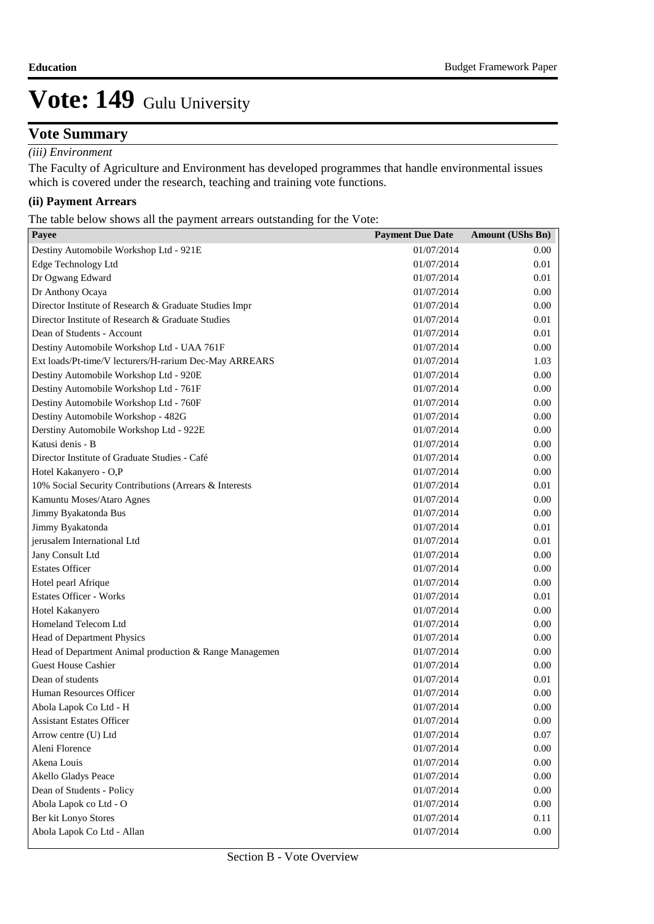### **Vote Summary**

#### *(iii) Environment*

The Faculty of Agriculture and Environment has developed programmes that handle environmental issues which is covered under the research, teaching and training vote functions.

#### **(ii) Payment Arrears**

The table below shows all the payment arrears outstanding for the Vote:

| Payee                                                  | <b>Payment Due Date</b> | Amount (UShs Bn) |
|--------------------------------------------------------|-------------------------|------------------|
| Destiny Automobile Workshop Ltd - 921E                 | 01/07/2014              | 0.00             |
| Edge Technology Ltd                                    | 01/07/2014              | 0.01             |
| Dr Ogwang Edward                                       | 01/07/2014              | 0.01             |
| Dr Anthony Ocaya                                       | 01/07/2014              | 0.00             |
| Director Institute of Research & Graduate Studies Impr | 01/07/2014              | 0.00             |
| Director Institute of Research & Graduate Studies      | 01/07/2014              | 0.01             |
| Dean of Students - Account                             | 01/07/2014              | 0.01             |
| Destiny Automobile Workshop Ltd - UAA 761F             | 01/07/2014              | 0.00             |
| Ext loads/Pt-time/V lecturers/H-rarium Dec-May ARREARS | 01/07/2014              | 1.03             |
| Destiny Automobile Workshop Ltd - 920E                 | 01/07/2014              | 0.00             |
| Destiny Automobile Workshop Ltd - 761F                 | 01/07/2014              | 0.00             |
| Destiny Automobile Workshop Ltd - 760F                 | 01/07/2014              | 0.00             |
| Destiny Automobile Workshop - 482G                     | 01/07/2014              | 0.00             |
| Derstiny Automobile Workshop Ltd - 922E                | 01/07/2014              | 0.00             |
| Katusi denis - B                                       | 01/07/2014              | 0.00             |
| Director Institute of Graduate Studies - Café          | 01/07/2014              | 0.00             |
| Hotel Kakanyero - O,P                                  | 01/07/2014              | 0.00             |
| 10% Social Security Contributions (Arrears & Interests | 01/07/2014              | 0.01             |
| Kamuntu Moses/Ataro Agnes                              | 01/07/2014              | 0.00             |
| Jimmy Byakatonda Bus                                   | 01/07/2014              | 0.00             |
| Jimmy Byakatonda                                       | 01/07/2014              | 0.01             |
| jerusalem International Ltd                            | 01/07/2014              | 0.01             |
| Jany Consult Ltd                                       | 01/07/2014              | 0.00             |
| <b>Estates Officer</b>                                 | 01/07/2014              | 0.00             |
| Hotel pearl Afrique                                    | 01/07/2014              | 0.00             |
| <b>Estates Officer - Works</b>                         | 01/07/2014              | 0.01             |
| Hotel Kakanyero                                        | 01/07/2014              | 0.00             |
| Homeland Telecom Ltd                                   | 01/07/2014              | 0.00             |
| Head of Department Physics                             | 01/07/2014              | 0.00             |
| Head of Department Animal production & Range Managemen | 01/07/2014              | 0.00             |
| <b>Guest House Cashier</b>                             | 01/07/2014              | 0.00             |
| Dean of students                                       | 01/07/2014              | 0.01             |
| Human Resources Officer                                | 01/07/2014              | 0.00             |
| Abola Lapok Co Ltd - H                                 | 01/07/2014              | 0.00             |
| <b>Assistant Estates Officer</b>                       | 01/07/2014              | 0.00             |
| Arrow centre (U) Ltd                                   | 01/07/2014              | $0.07\,$         |
| Aleni Florence                                         | 01/07/2014              | 0.00             |
| Akena Louis                                            | 01/07/2014              | 0.00             |
| Akello Gladys Peace                                    | 01/07/2014              | 0.00             |
| Dean of Students - Policy                              | 01/07/2014              | 0.00             |
| Abola Lapok co Ltd - O                                 | 01/07/2014              | 0.00             |
| Ber kit Lonyo Stores                                   | 01/07/2014              | 0.11             |
| Abola Lapok Co Ltd - Allan                             | 01/07/2014              | $0.00\,$         |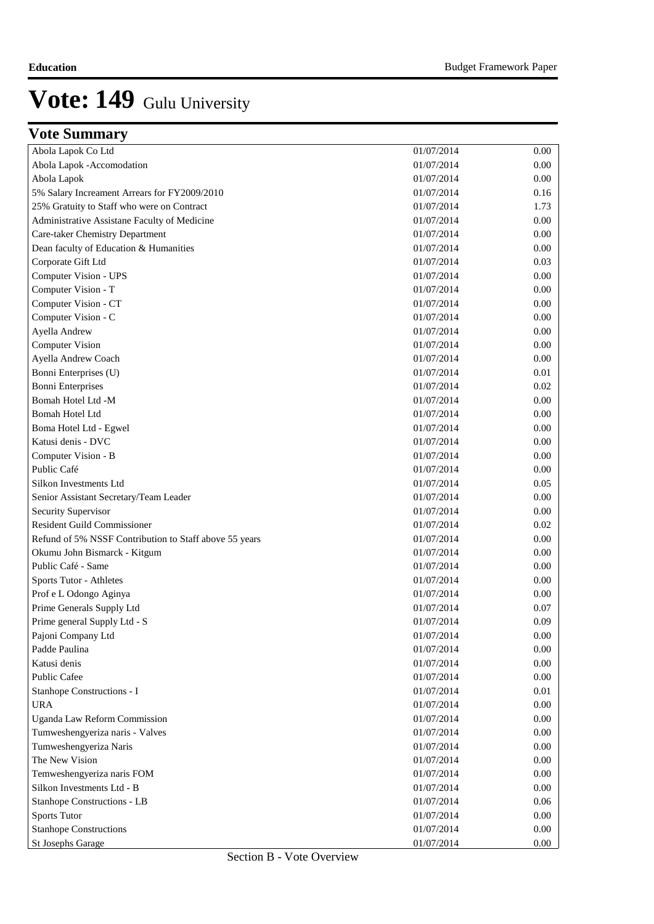|  |  | <b>Vote Summary</b> |
|--|--|---------------------|
|--|--|---------------------|

| Abola Lapok Co Ltd                                     | 01/07/2014 | 0.00     |
|--------------------------------------------------------|------------|----------|
| Abola Lapok -Accomodation                              | 01/07/2014 | 0.00     |
| Abola Lapok                                            | 01/07/2014 | 0.00     |
| 5% Salary Increament Arrears for FY2009/2010           | 01/07/2014 | 0.16     |
| 25% Gratuity to Staff who were on Contract             | 01/07/2014 | 1.73     |
| Administrative Assistane Faculty of Medicine           | 01/07/2014 | 0.00     |
| Care-taker Chemistry Department                        | 01/07/2014 | 0.00     |
| Dean faculty of Education & Humanities                 | 01/07/2014 | 0.00     |
| Corporate Gift Ltd                                     | 01/07/2014 | 0.03     |
| Computer Vision - UPS                                  | 01/07/2014 | 0.00     |
| Computer Vision - T                                    | 01/07/2014 | 0.00     |
| Computer Vision - CT                                   | 01/07/2014 | 0.00     |
| Computer Vision - C                                    | 01/07/2014 | 0.00     |
| Ayella Andrew                                          | 01/07/2014 | 0.00     |
| <b>Computer Vision</b>                                 | 01/07/2014 | 0.00     |
| Ayella Andrew Coach                                    | 01/07/2014 | 0.00     |
| Bonni Enterprises (U)                                  | 01/07/2014 | 0.01     |
| <b>Bonni Enterprises</b>                               | 01/07/2014 | 0.02     |
| Bomah Hotel Ltd -M                                     | 01/07/2014 | 0.00     |
| Bomah Hotel Ltd                                        | 01/07/2014 | 0.00     |
| Boma Hotel Ltd - Egwel                                 | 01/07/2014 | 0.00     |
| Katusi denis - DVC                                     | 01/07/2014 | 0.00     |
| Computer Vision - B                                    | 01/07/2014 | 0.00     |
| Public Café                                            | 01/07/2014 | 0.00     |
| Silkon Investments Ltd                                 | 01/07/2014 | 0.05     |
| Senior Assistant Secretary/Team Leader                 | 01/07/2014 | 0.00     |
| Security Supervisor                                    | 01/07/2014 | 0.00     |
| <b>Resident Guild Commissioner</b>                     | 01/07/2014 | 0.02     |
| Refund of 5% NSSF Contribution to Staff above 55 years | 01/07/2014 | 0.00     |
| Okumu John Bismarck - Kitgum                           | 01/07/2014 | 0.00     |
| Public Café - Same                                     | 01/07/2014 | 0.00     |
| Sports Tutor - Athletes                                | 01/07/2014 | 0.00     |
| Prof e L Odongo Aginya                                 | 01/07/2014 | 0.00     |
| Prime Generals Supply Ltd                              | 01/07/2014 | 0.07     |
| Prime general Supply Ltd - S                           | 01/07/2014 | 0.09     |
| Pajoni Company Ltd                                     | 01/07/2014 | $0.00\,$ |
| Padde Paulina                                          | 01/07/2014 | 0.00     |
| Katusi denis                                           | 01/07/2014 | 0.00     |
| Public Cafee                                           |            |          |
| Stanhope Constructions - I                             | 01/07/2014 | 0.00     |
|                                                        | 01/07/2014 | 0.01     |
| <b>URA</b>                                             | 01/07/2014 | 0.00     |
| Uganda Law Reform Commission                           | 01/07/2014 | 0.00     |
| Tumweshengyeriza naris - Valves                        | 01/07/2014 | 0.00     |
| Tumweshengyeriza Naris                                 | 01/07/2014 | 0.00     |
| The New Vision                                         | 01/07/2014 | 0.00     |
| Temweshengyeriza naris FOM                             | 01/07/2014 | 0.00     |
| Silkon Investments Ltd - B                             | 01/07/2014 | 0.00     |
| Stanhope Constructions - LB                            | 01/07/2014 | 0.06     |
| <b>Sports Tutor</b>                                    | 01/07/2014 | 0.00     |
| <b>Stanhope Constructions</b>                          | 01/07/2014 | 0.00     |
| <b>St Josephs Garage</b>                               | 01/07/2014 | $0.00\,$ |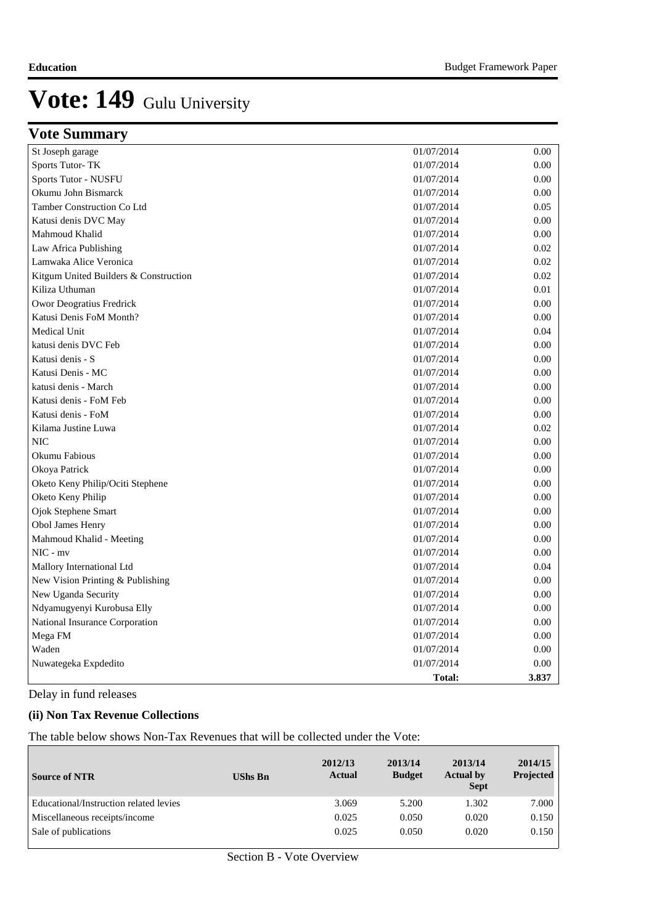| <b>Vote Summary</b>                   |               |       |
|---------------------------------------|---------------|-------|
| St Joseph garage                      | 01/07/2014    | 0.00  |
| Sports Tutor-TK                       | 01/07/2014    | 0.00  |
| Sports Tutor - NUSFU                  | 01/07/2014    | 0.00  |
| Okumu John Bismarck                   | 01/07/2014    | 0.00  |
| <b>Tamber Construction Co Ltd</b>     | 01/07/2014    | 0.05  |
| Katusi denis DVC May                  | 01/07/2014    | 0.00  |
| Mahmoud Khalid                        | 01/07/2014    | 0.00  |
| Law Africa Publishing                 | 01/07/2014    | 0.02  |
| Lamwaka Alice Veronica                | 01/07/2014    | 0.02  |
| Kitgum United Builders & Construction | 01/07/2014    | 0.02  |
| Kiliza Uthuman                        | 01/07/2014    | 0.01  |
| Owor Deogratius Fredrick              | 01/07/2014    | 0.00  |
| Katusi Denis FoM Month?               | 01/07/2014    | 0.00  |
| Medical Unit                          | 01/07/2014    | 0.04  |
| katusi denis DVC Feb                  | 01/07/2014    | 0.00  |
| Katusi denis - S                      | 01/07/2014    | 0.00  |
| Katusi Denis - MC                     | 01/07/2014    | 0.00  |
| katusi denis - March                  | 01/07/2014    | 0.00  |
| Katusi denis - FoM Feb                | 01/07/2014    | 0.00  |
| Katusi denis - FoM                    | 01/07/2014    | 0.00  |
| Kilama Justine Luwa                   | 01/07/2014    | 0.02  |
| NIC                                   | 01/07/2014    | 0.00  |
| Okumu Fabious                         | 01/07/2014    | 0.00  |
| Okoya Patrick                         | 01/07/2014    | 0.00  |
| Oketo Keny Philip/Ociti Stephene      | 01/07/2014    | 0.00  |
| Oketo Keny Philip                     | 01/07/2014    | 0.00  |
| Ojok Stephene Smart                   | 01/07/2014    | 0.00  |
| Obol James Henry                      | 01/07/2014    | 0.00  |
| Mahmoud Khalid - Meeting              | 01/07/2014    | 0.00  |
| NIC - mv                              | 01/07/2014    | 0.00  |
| Mallory International Ltd             | 01/07/2014    | 0.04  |
| New Vision Printing & Publishing      | 01/07/2014    | 0.00  |
| New Uganda Security                   | 01/07/2014    | 0.00  |
| Ndyamugyenyi Kurobusa Elly            | 01/07/2014    | 0.00  |
| National Insurance Corporation        | 01/07/2014    | 0.00  |
| Mega FM                               | 01/07/2014    | 0.00  |
| Waden                                 | 01/07/2014    | 0.00  |
| Nuwategeka Expdedito                  | 01/07/2014    | 0.00  |
|                                       | <b>Total:</b> | 3.837 |

Delay in fund releases

#### **(ii) Non Tax Revenue Collections**

The table below shows Non-Tax Revenues that will be collected under the Vote:

| <b>Source of NTR</b>                   | <b>UShs Bn</b> | 2012/13<br>Actual | 2013/14<br><b>Budget</b> | 2013/14<br><b>Actual by</b><br><b>Sept</b> | 2014/15<br>Projected |
|----------------------------------------|----------------|-------------------|--------------------------|--------------------------------------------|----------------------|
| Educational/Instruction related levies |                | 3.069             | 5.200                    | 1.302                                      | 7.000                |
| Miscellaneous receipts/income          |                | 0.025             | 0.050                    | 0.020                                      | 0.150                |
| Sale of publications                   |                | 0.025             | 0.050                    | 0.020                                      | 0.150                |